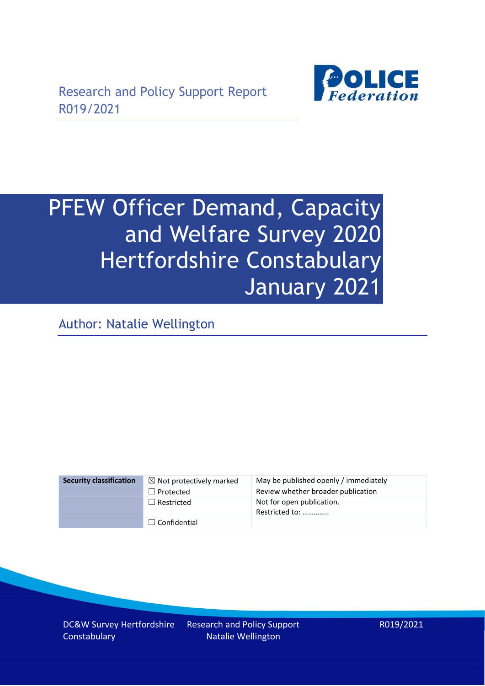

# PFEW Officer Demand, Capacity and Welfare Survey 2020 Hertfordshire Constabulary January 2021

Author: Natalie Wellington

| <b>Security classification</b> | $\boxtimes$ Not protectively marked | May be published openly / immediately       |
|--------------------------------|-------------------------------------|---------------------------------------------|
|                                | $\Box$ Protected                    | Review whether broader publication          |
|                                | $\Box$ Restricted                   | Not for open publication.<br>Restricted to: |
|                                | $\Box$ Confidential                 |                                             |

DC&W Survey Hertfordshire **Constabulary** 

Research and Policy Support Natalie Wellington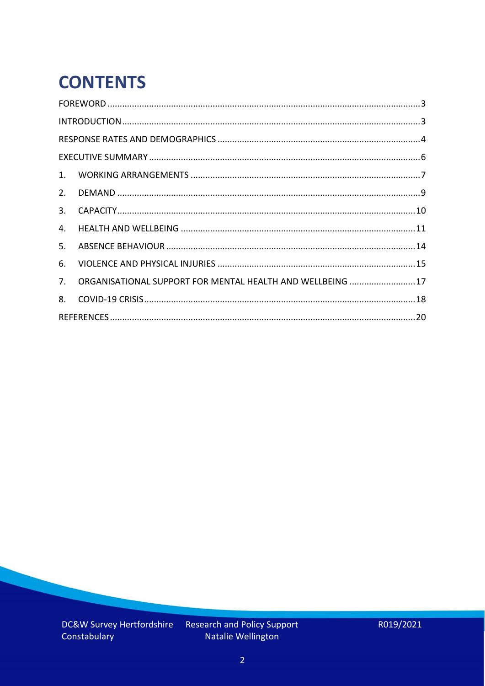# **CONTENTS**

| 2.          |                                                            |  |
|-------------|------------------------------------------------------------|--|
| 3.          |                                                            |  |
| 4.          |                                                            |  |
| 5.          |                                                            |  |
| 6.          |                                                            |  |
| $7_{\cdot}$ | ORGANISATIONAL SUPPORT FOR MENTAL HEALTH AND WELLBEING  17 |  |
| 8.          |                                                            |  |
|             |                                                            |  |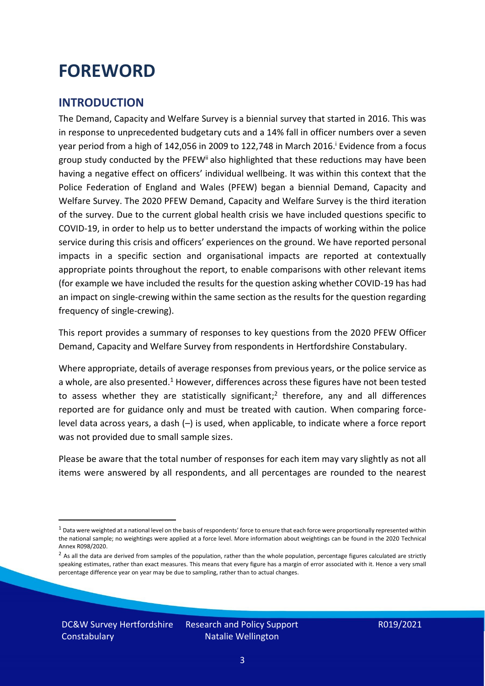### <span id="page-2-0"></span>**FOREWORD**

#### <span id="page-2-1"></span>**INTRODUCTION**

The Demand, Capacity and Welfare Survey is a biennial survey that started in 2016. This was in response to unprecedented budgetary cuts and a 14% fall in officer numbers over a seven year period from a high of 142,056 in 2009 to 122,748 in March 2016. <sup>i</sup> Evidence from a focus group study conducted by the PFEW<sup>ii</sup> also highlighted that these reductions may have been having a negative effect on officers' individual wellbeing. It was within this context that the Police Federation of England and Wales (PFEW) began a biennial Demand, Capacity and Welfare Survey. The 2020 PFEW Demand, Capacity and Welfare Survey is the third iteration of the survey. Due to the current global health crisis we have included questions specific to COVID-19, in order to help us to better understand the impacts of working within the police service during this crisis and officers' experiences on the ground. We have reported personal impacts in a specific section and organisational impacts are reported at contextually appropriate points throughout the report, to enable comparisons with other relevant items (for example we have included the results for the question asking whether COVID-19 has had an impact on single-crewing within the same section as the results for the question regarding frequency of single-crewing).

This report provides a summary of responses to key questions from the 2020 PFEW Officer Demand, Capacity and Welfare Survey from respondents in Hertfordshire Constabulary.

Where appropriate, details of average responses from previous years, or the police service as a whole, are also presented.<sup>1</sup> However, differences across these figures have not been tested to assess whether they are statistically significant;<sup>2</sup> therefore, any and all differences reported are for guidance only and must be treated with caution. When comparing forcelevel data across years, a dash (–) is used, when applicable, to indicate where a force report was not provided due to small sample sizes.

Please be aware that the total number of responses for each item may vary slightly as not all items were answered by all respondents, and all percentages are rounded to the nearest

DC&W Survey Hertfordshire **Constabulary** 

 $1$  Data were weighted at a national level on the basis of respondents' force to ensure that each force were proportionally represented within the national sample; no weightings were applied at a force level. More information about weightings can be found in the 2020 Technical Annex R098/2020.

 $2$  As all the data are derived from samples of the population, rather than the whole population, percentage figures calculated are strictly speaking estimates, rather than exact measures. This means that every figure has a margin of error associated with it. Hence a very small percentage difference year on year may be due to sampling, rather than to actual changes.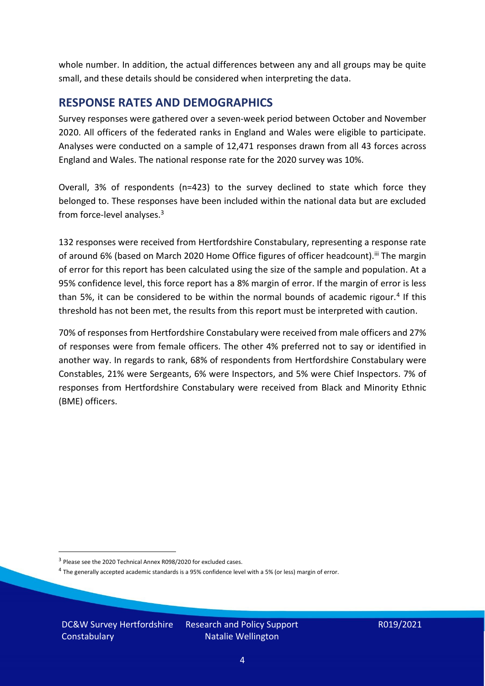whole number. In addition, the actual differences between any and all groups may be quite small, and these details should be considered when interpreting the data.

#### <span id="page-3-0"></span>**RESPONSE RATES AND DEMOGRAPHICS**

Survey responses were gathered over a seven-week period between October and November 2020. All officers of the federated ranks in England and Wales were eligible to participate. Analyses were conducted on a sample of 12,471 responses drawn from all 43 forces across England and Wales. The national response rate for the 2020 survey was 10%.

Overall, 3% of respondents (n=423) to the survey declined to state which force they belonged to. These responses have been included within the national data but are excluded from force-level analyses. 3

132 responses were received from Hertfordshire Constabulary, representing a response rate of around 6% (based on March 2020 Home Office figures of officer headcount).<sup>iii</sup> The margin of error for this report has been calculated using the size of the sample and population. At a 95% confidence level, this force report has a 8% margin of error. If the margin of error is less than 5%, it can be considered to be within the normal bounds of academic rigour.<sup>4</sup> If this threshold has not been met, the results from this report must be interpreted with caution.

70% of responses from Hertfordshire Constabulary were received from male officers and 27% of responses were from female officers. The other 4% preferred not to say or identified in another way. In regards to rank, 68% of respondents from Hertfordshire Constabulary were Constables, 21% were Sergeants, 6% were Inspectors, and 5% were Chief Inspectors. 7% of responses from Hertfordshire Constabulary were received from Black and Minority Ethnic (BME) officers.

DC&W Survey Hertfordshire **Constabulary** 

<sup>&</sup>lt;sup>3</sup> Please see the 2020 Technical Annex R098/2020 for excluded cases.

<sup>&</sup>lt;sup>4</sup> The generally accepted academic standards is a 95% confidence level with a 5% (or less) margin of error.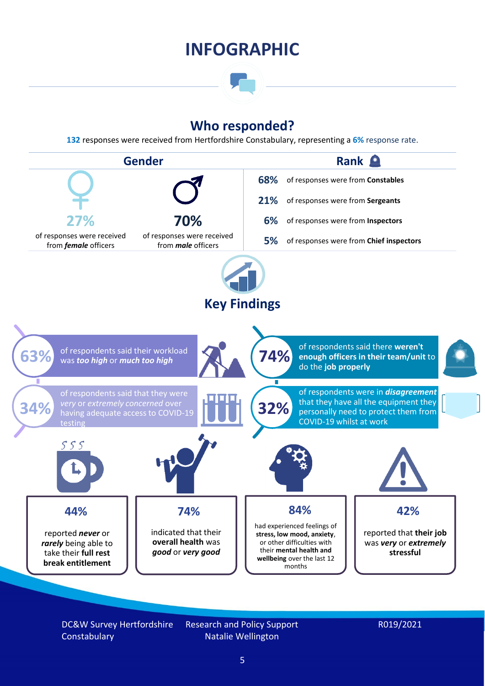### **INFOGRAPHIC**

### **Who responded?**

**132** responses were received from Hertfordshire Constabulary, representing a **6%** response rate.



DC&W Survey Hertfordshire **Constabulary** 

Research and Policy Support Natalie Wellington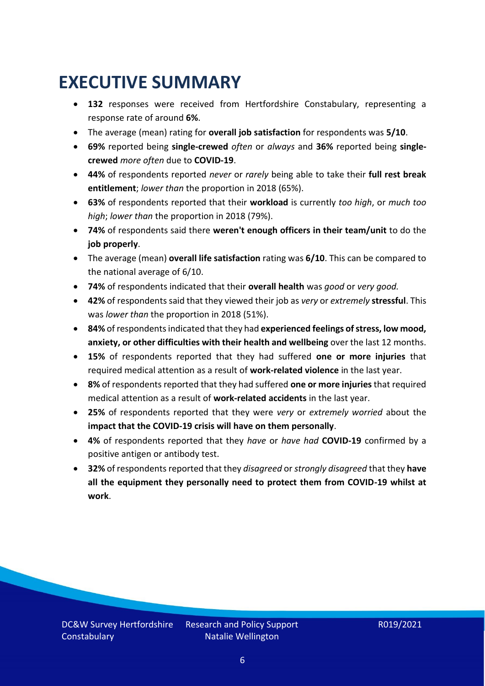### <span id="page-5-0"></span>**EXECUTIVE SUMMARY**

- **132** responses were received from Hertfordshire Constabulary, representing a response rate of around **6%**.
- The average (mean) rating for **overall job satisfaction** for respondents was **5/10**.
- **69%** reported being **single-crewed** *often* or *always* and **36%** reported being **singlecrewed** *more often* due to **COVID-19**.
- **44%** of respondents reported *never* or *rarely* being able to take their **full rest break entitlement**; *lower than* the proportion in 2018 (65%).
- **63%** of respondents reported that their **workload** is currently *too high*, or *much too high*; *lower than* the proportion in 2018 (79%).
- **74%** of respondents said there **weren't enough officers in their team/unit** to do the **job properly**.
- The average (mean) **overall life satisfaction** rating was **6/10**. This can be compared to the national average of 6/10.
- **74%** of respondents indicated that their **overall health** was *good* or *very good.*
- **42%** of respondents said that they viewed their job as *very* or *extremely* **stressful**. This was *lower than* the proportion in 2018 (51%).
- **84%** of respondents indicated that they had **experienced feelings of stress, low mood, anxiety, or other difficulties with their health and wellbeing** over the last 12 months.
- **15%** of respondents reported that they had suffered **one or more injuries** that required medical attention as a result of **work-related violence** in the last year.
- **8%** of respondents reported that they had suffered **one or more injuries**that required medical attention as a result of **work-related accidents** in the last year.
- **25%** of respondents reported that they were *very* or *extremely worried* about the **impact that the COVID-19 crisis will have on them personally**.
- **4%** of respondents reported that they *have* or *have had* **COVID-19** confirmed by a positive antigen or antibody test.
- **32%** of respondents reported that they *disagreed* or *strongly disagreed* that they **have all the equipment they personally need to protect them from COVID-19 whilst at work**.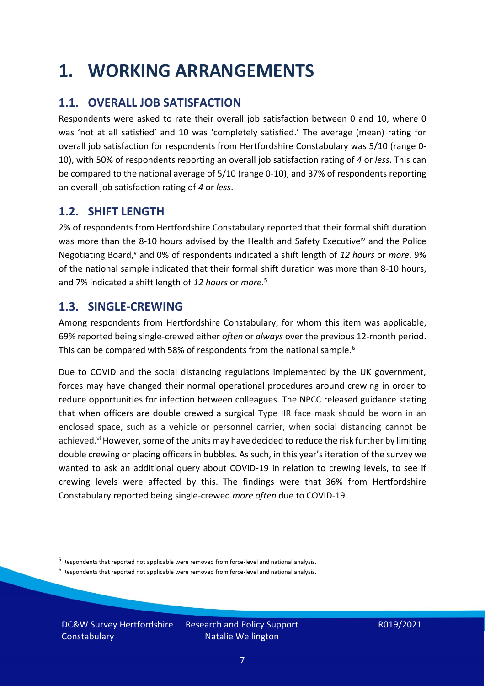### <span id="page-6-0"></span>**1. WORKING ARRANGEMENTS**

### **1.1. OVERALL JOB SATISFACTION**

Respondents were asked to rate their overall job satisfaction between 0 and 10, where 0 was 'not at all satisfied' and 10 was 'completely satisfied.' The average (mean) rating for overall job satisfaction for respondents from Hertfordshire Constabulary was 5/10 (range 0- 10), with 50% of respondents reporting an overall job satisfaction rating of *4* or *less*. This can be compared to the national average of 5/10 (range 0-10), and 37% of respondents reporting an overall job satisfaction rating of *4* or *less*.

### **1.2. SHIFT LENGTH**

2% of respondents from Hertfordshire Constabulary reported that their formal shift duration was more than the 8-10 hours advised by the Health and Safety Executive<sup>iv</sup> and the Police Negotiating Board,<sup>v</sup> and 0% of respondents indicated a shift length of 12 hours or more. 9% of the national sample indicated that their formal shift duration was more than 8-10 hours, and 7% indicated a shift length of *12 hours* or *more*. 5

#### **1.3. SINGLE-CREWING**

Among respondents from Hertfordshire Constabulary, for whom this item was applicable, 69% reported being single-crewed either *often* or *always* over the previous 12-month period. This can be compared with 58% of respondents from the national sample.<sup>6</sup>

Due to COVID and the social distancing regulations implemented by the UK government, forces may have changed their normal operational procedures around crewing in order to reduce opportunities for infection between colleagues. The NPCC released guidance stating that when officers are double crewed a surgical Type IIR face mask should be worn in an enclosed space, such as a vehicle or personnel carrier, when social distancing cannot be achieved.<sup>vi</sup> However, some of the units may have decided to reduce the risk further by limiting double crewing or placing officers in bubbles. As such, in this year's iteration of the survey we wanted to ask an additional query about COVID-19 in relation to crewing levels, to see if crewing levels were affected by this. The findings were that 36% from Hertfordshire Constabulary reported being single-crewed *more often* due to COVID-19.

DC&W Survey Hertfordshire **Constabulary** 

<sup>&</sup>lt;sup>5</sup> Respondents that reported not applicable were removed from force-level and national analysis.

 $<sup>6</sup>$  Respondents that reported not applicable were removed from force-level and national analysis.</sup>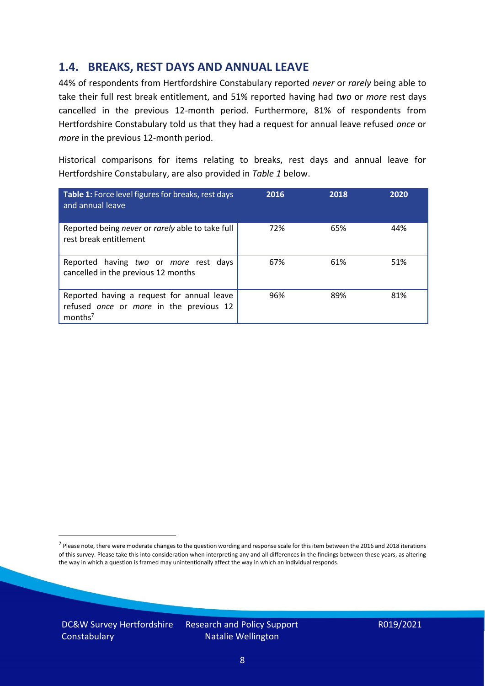#### **1.4. BREAKS, REST DAYS AND ANNUAL LEAVE**

44% of respondents from Hertfordshire Constabulary reported *never* or *rarely* being able to take their full rest break entitlement, and 51% reported having had *two* or *more* rest days cancelled in the previous 12-month period. Furthermore, 81% of respondents from Hertfordshire Constabulary told us that they had a request for annual leave refused *once* or *more* in the previous 12-month period.

Historical comparisons for items relating to breaks, rest days and annual leave for Hertfordshire Constabulary, are also provided in *Table 1* below.

| Table 1: Force level figures for breaks, rest days<br>and annual leave                                       | 2016 | 2018 | 2020 |
|--------------------------------------------------------------------------------------------------------------|------|------|------|
| Reported being never or rarely able to take full<br>rest break entitlement                                   | 72%  | 65%  | 44%  |
| Reported having two or more rest days<br>cancelled in the previous 12 months                                 | 67%  | 61%  | 51%  |
| Reported having a request for annual leave<br>refused once or more in the previous 12<br>months <sup>7</sup> | 96%  | 89%  | 81%  |

DC&W Survey Hertfordshire **Constabulary** 

<sup>&</sup>lt;sup>7</sup> Please note, there were moderate changes to the question wording and response scale for this item between the 2016 and 2018 iterations of this survey. Please take this into consideration when interpreting any and all differences in the findings between these years, as altering the way in which a question is framed may unintentionally affect the way in which an individual responds.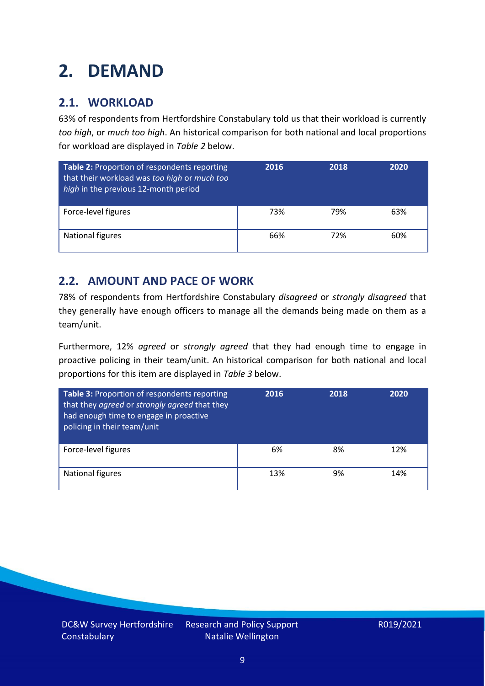# <span id="page-8-0"></span>**2. DEMAND**

### **2.1. WORKLOAD**

63% of respondents from Hertfordshire Constabulary told us that their workload is currently *too high*, or *much too high*. An historical comparison for both national and local proportions for workload are displayed in *Table 2* below.

| Table 2: Proportion of respondents reporting<br>that their workload was too high or much too<br>high in the previous 12-month period | 2016 | 2018 | 2020 |
|--------------------------------------------------------------------------------------------------------------------------------------|------|------|------|
| Force-level figures                                                                                                                  | 73%  | 79%  | 63%  |
| National figures                                                                                                                     | 66%  | 72%  | 60%  |

### **2.2. AMOUNT AND PACE OF WORK**

78% of respondents from Hertfordshire Constabulary *disagreed* or *strongly disagreed* that they generally have enough officers to manage all the demands being made on them as a team/unit.

Furthermore, 12% *agreed* or *strongly agreed* that they had enough time to engage in proactive policing in their team/unit. An historical comparison for both national and local proportions for this item are displayed in *Table 3* below.

| Table 3: Proportion of respondents reporting<br>that they agreed or strongly agreed that they<br>had enough time to engage in proactive<br>policing in their team/unit | 2016 | 2018 | 2020 |
|------------------------------------------------------------------------------------------------------------------------------------------------------------------------|------|------|------|
| Force-level figures                                                                                                                                                    | 6%   | 8%   | 12%  |
| National figures                                                                                                                                                       | 13%  | 9%   | 14%  |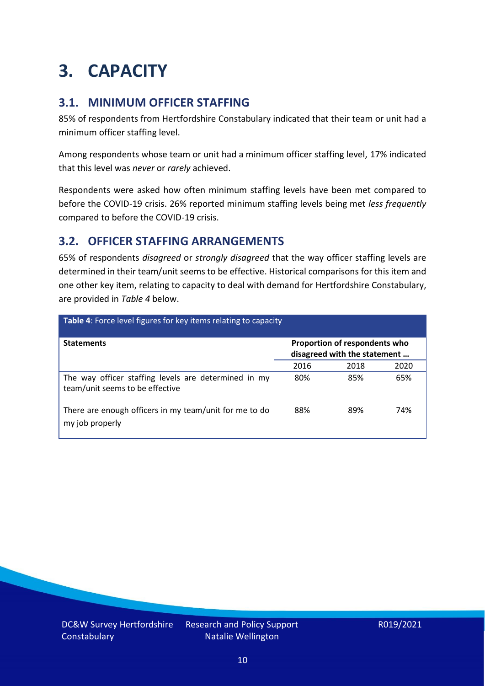## <span id="page-9-0"></span>**3. CAPACITY**

### **3.1. MINIMUM OFFICER STAFFING**

85% of respondents from Hertfordshire Constabulary indicated that their team or unit had a minimum officer staffing level.

Among respondents whose team or unit had a minimum officer staffing level, 17% indicated that this level was *never* or *rarely* achieved.

Respondents were asked how often minimum staffing levels have been met compared to before the COVID-19 crisis. 26% reported minimum staffing levels being met *less frequently* compared to before the COVID-19 crisis.

### **3.2. OFFICER STAFFING ARRANGEMENTS**

65% of respondents *disagreed* or *strongly disagreed* that the way officer staffing levels are determined in their team/unit seems to be effective. Historical comparisons for this item and one other key item, relating to capacity to deal with demand for Hertfordshire Constabulary, are provided in *Table 4* below.

| <b>Table 4:</b> Force level figures for key items relating to capacity                  |                                                               |      |      |  |
|-----------------------------------------------------------------------------------------|---------------------------------------------------------------|------|------|--|
| <b>Statements</b>                                                                       | Proportion of respondents who<br>disagreed with the statement |      |      |  |
|                                                                                         | 2016                                                          | 2018 | 2020 |  |
| The way officer staffing levels are determined in my<br>team/unit seems to be effective | 80%                                                           | 85%  | 65%  |  |
| There are enough officers in my team/unit for me to do<br>my job properly               | 88%                                                           | 89%  | 74%  |  |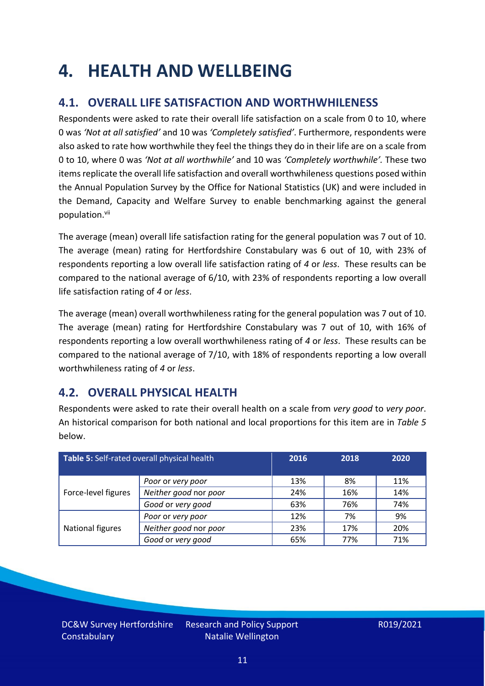### <span id="page-10-0"></span>**4. HEALTH AND WELLBEING**

### **4.1. OVERALL LIFE SATISFACTION AND WORTHWHILENESS**

Respondents were asked to rate their overall life satisfaction on a scale from 0 to 10, where 0 was *'Not at all satisfied'* and 10 was *'Completely satisfied'*. Furthermore, respondents were also asked to rate how worthwhile they feel the things they do in their life are on a scale from 0 to 10, where 0 was *'Not at all worthwhile'* and 10 was *'Completely worthwhile'.* These two items replicate the overall life satisfaction and overall worthwhileness questions posed within the Annual Population Survey by the Office for National Statistics (UK) and were included in the Demand, Capacity and Welfare Survey to enable benchmarking against the general population. vii

The average (mean) overall life satisfaction rating for the general population was 7 out of 10. The average (mean) rating for Hertfordshire Constabulary was 6 out of 10, with 23% of respondents reporting a low overall life satisfaction rating of *4* or *less*. These results can be compared to the national average of 6/10, with 23% of respondents reporting a low overall life satisfaction rating of *4* or *less*.

The average (mean) overall worthwhileness rating for the general population was 7 out of 10. The average (mean) rating for Hertfordshire Constabulary was 7 out of 10, with 16% of respondents reporting a low overall worthwhileness rating of *4* or *less*. These results can be compared to the national average of 7/10, with 18% of respondents reporting a low overall worthwhileness rating of *4* or *less*.

### **4.2. OVERALL PHYSICAL HEALTH**

Respondents were asked to rate their overall health on a scale from *very good* to *very poor*. An historical comparison for both national and local proportions for this item are in *Table 5* below.

| Table 5: Self-rated overall physical health |                       | 2016 | 2018 | 2020 |
|---------------------------------------------|-----------------------|------|------|------|
|                                             | Poor or very poor     | 13%  | 8%   | 11%  |
| Force-level figures                         | Neither good nor poor | 24%  | 16%  | 14%  |
|                                             | Good or very good     | 63%  | 76%  | 74%  |
|                                             | Poor or very poor     | 12%  | 7%   | 9%   |
| National figures                            | Neither good nor poor | 23%  | 17%  | 20%  |
|                                             | Good or very good     | 65%  | 77%  | 71%  |

DC&W Survey Hertfordshire **Constabulary**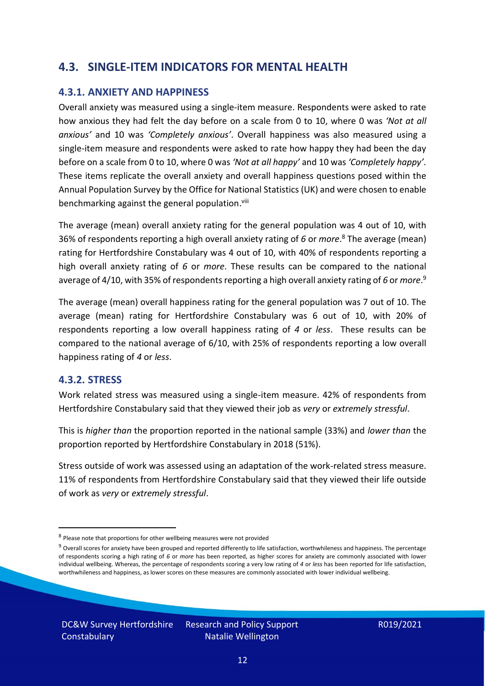### **4.3. SINGLE-ITEM INDICATORS FOR MENTAL HEALTH**

#### **4.3.1. ANXIETY AND HAPPINESS**

Overall anxiety was measured using a single-item measure. Respondents were asked to rate how anxious they had felt the day before on a scale from 0 to 10, where 0 was *'Not at all anxious'* and 10 was *'Completely anxious'*. Overall happiness was also measured using a single-item measure and respondents were asked to rate how happy they had been the day before on a scale from 0 to 10, where 0 was *'Not at all happy'* and 10 was *'Completely happy'*. These items replicate the overall anxiety and overall happiness questions posed within the Annual Population Survey by the Office for National Statistics (UK) and were chosen to enable benchmarking against the general population.<sup>viii</sup>

The average (mean) overall anxiety rating for the general population was 4 out of 10, with 36% of respondents reporting a high overall anxiety rating of *6* or *more*. <sup>8</sup> The average (mean) rating for Hertfordshire Constabulary was 4 out of 10, with 40% of respondents reporting a high overall anxiety rating of *6* or *more*. These results can be compared to the national average of 4/10, with 35% of respondents reporting a high overall anxiety rating of 6 or *more*.<sup>9</sup>

The average (mean) overall happiness rating for the general population was 7 out of 10. The average (mean) rating for Hertfordshire Constabulary was 6 out of 10, with 20% of respondents reporting a low overall happiness rating of *4* or *less*. These results can be compared to the national average of 6/10, with 25% of respondents reporting a low overall happiness rating of *4* or *less*.

#### **4.3.2. STRESS**

Work related stress was measured using a single-item measure. 42% of respondents from Hertfordshire Constabulary said that they viewed their job as *very* or *extremely stressful*.

This is *higher than* the proportion reported in the national sample (33%) and *lower than* the proportion reported by Hertfordshire Constabulary in 2018 (51%).

Stress outside of work was assessed using an adaptation of the work-related stress measure. 11% of respondents from Hertfordshire Constabulary said that they viewed their life outside of work as *very* or *extremely stressful*.

<sup>&</sup>lt;sup>8</sup> Please note that proportions for other wellbeing measures were not provided

 $9$  Overall scores for anxiety have been grouped and reported differently to life satisfaction, worthwhileness and happiness. The percentage of respondents scoring a high rating of *6* or *more* has been reported, as higher scores for anxiety are commonly associated with lower individual wellbeing. Whereas, the percentage of respondents scoring a very low rating of *4* or *less* has been reported for life satisfaction, worthwhileness and happiness, as lower scores on these measures are commonly associated with lower individual wellbeing.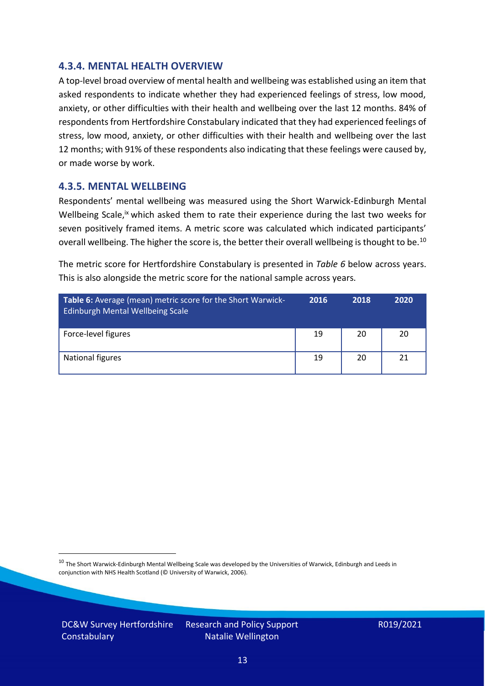#### **4.3.4. MENTAL HEALTH OVERVIEW**

A top-level broad overview of mental health and wellbeing was established using an item that asked respondents to indicate whether they had experienced feelings of stress, low mood, anxiety, or other difficulties with their health and wellbeing over the last 12 months. 84% of respondents from Hertfordshire Constabulary indicated that they had experienced feelings of stress, low mood, anxiety, or other difficulties with their health and wellbeing over the last 12 months; with 91% of these respondents also indicating that these feelings were caused by, or made worse by work.

#### **4.3.5. MENTAL WELLBEING**

Respondents' mental wellbeing was measured using the Short Warwick-Edinburgh Mental Wellbeing Scale,<sup>ix</sup> which asked them to rate their experience during the last two weeks for seven positively framed items. A metric score was calculated which indicated participants' overall wellbeing. The higher the score is, the better their overall wellbeing is thought to be.<sup>10</sup>

The metric score for Hertfordshire Constabulary is presented in *Table 6* below across years. This is also alongside the metric score for the national sample across years.

| <b>Table 6:</b> Average (mean) metric score for the Short Warwick-<br>Edinburgh Mental Wellbeing Scale | 2016 | 2018 | 2020 |
|--------------------------------------------------------------------------------------------------------|------|------|------|
| Force-level figures                                                                                    | 19   | 20   | 20   |
| National figures                                                                                       | 19   | 20   | 21   |

 $10$  The Short Warwick-Edinburgh Mental Wellbeing Scale was developed by the Universities of Warwick, Edinburgh and Leeds in conjunction with NHS Health Scotland (© University of Warwick, 2006).

DC&W Survey Hertfordshire **Constabulary**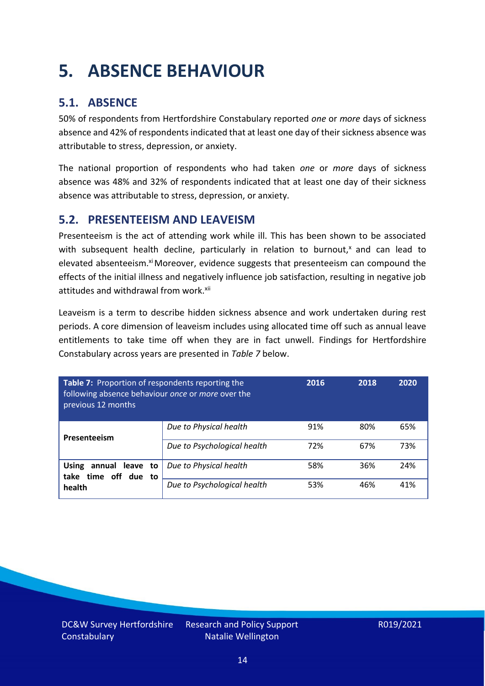# <span id="page-13-0"></span>**5. ABSENCE BEHAVIOUR**

### **5.1. ABSENCE**

50% of respondents from Hertfordshire Constabulary reported *one* or *more* days of sickness absence and 42% of respondents indicated that at least one day of their sickness absence was attributable to stress, depression, or anxiety.

The national proportion of respondents who had taken *one* or *more* days of sickness absence was 48% and 32% of respondents indicated that at least one day of their sickness absence was attributable to stress, depression, or anxiety.

### **5.2. PRESENTEEISM AND LEAVEISM**

Presenteeism is the act of attending work while ill. This has been shown to be associated with subsequent health decline, particularly in relation to burnout, $x$  and can lead to elevated absenteeism.<sup>xi</sup> Moreover, evidence suggests that presenteeism can compound the effects of the initial illness and negatively influence job satisfaction, resulting in negative job attitudes and withdrawal from work.<sup>xii</sup>

Leaveism is a term to describe hidden sickness absence and work undertaken during rest periods. A core dimension of leaveism includes using allocated time off such as annual leave entitlements to take time off when they are in fact unwell. Findings for Hertfordshire Constabulary across years are presented in *Table 7* below.

| Table 7: Proportion of respondents reporting the<br>following absence behaviour once or more over the<br>previous 12 months |                             | 2016 | 2018 | 2020 |
|-----------------------------------------------------------------------------------------------------------------------------|-----------------------------|------|------|------|
| Presenteeism                                                                                                                | Due to Physical health      | 91%  | 80%  | 65%  |
|                                                                                                                             | Due to Psychological health | 72%  | 67%  | 73%  |
| annual leave to<br><b>Using</b><br>time off due to<br>take                                                                  | Due to Physical health      | 58%  | 36%  | 24%  |
| health                                                                                                                      | Due to Psychological health | 53%  | 46%  | 41%  |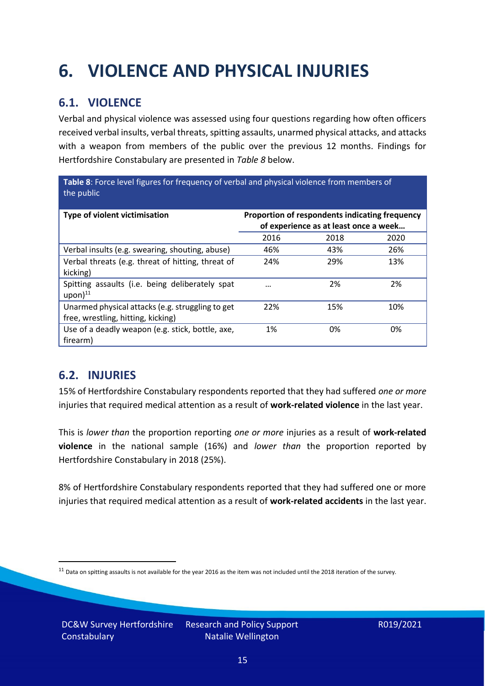# <span id="page-14-0"></span>**6. VIOLENCE AND PHYSICAL INJURIES**

### **6.1. VIOLENCE**

Verbal and physical violence was assessed using four questions regarding how often officers received verbal insults, verbal threats, spitting assaults, unarmed physical attacks, and attacks with a weapon from members of the public over the previous 12 months. Findings for Hertfordshire Constabulary are presented in *Table 8* below.

**Table 8**: Force level figures for frequency of verbal and physical violence from members of the public

| Type of violent victimisation                                                          | Proportion of respondents indicating frequency<br>of experience as at least once a week |      |      |
|----------------------------------------------------------------------------------------|-----------------------------------------------------------------------------------------|------|------|
|                                                                                        | 2016                                                                                    | 2018 | 2020 |
| Verbal insults (e.g. swearing, shouting, abuse)                                        | 46%                                                                                     | 43%  | 26%  |
| Verbal threats (e.g. threat of hitting, threat of<br>kicking)                          | 24%                                                                                     | 29%  | 13%  |
| Spitting assaults (i.e. being deliberately spat<br>$upon)$ <sup>11</sup>               | $\cdots$                                                                                | 2%   | 2%   |
| Unarmed physical attacks (e.g. struggling to get<br>free, wrestling, hitting, kicking) | 22%                                                                                     | 15%  | 10%  |
| Use of a deadly weapon (e.g. stick, bottle, axe,<br>firearm)                           | 1%                                                                                      | 0%   | 0%   |

### **6.2. INJURIES**

15% of Hertfordshire Constabulary respondents reported that they had suffered *one or more* injuries that required medical attention as a result of **work-related violence** in the last year.

This is *lower than* the proportion reporting *one or more* injuries as a result of **work-related violence** in the national sample (16%) and *lower than* the proportion reported by Hertfordshire Constabulary in 2018 (25%).

8% of Hertfordshire Constabulary respondents reported that they had suffered one or more injuries that required medical attention as a result of **work-related accidents** in the last year.

 $11$  Data on spitting assaults is not available for the year 2016 as the item was not included until the 2018 iteration of the survey.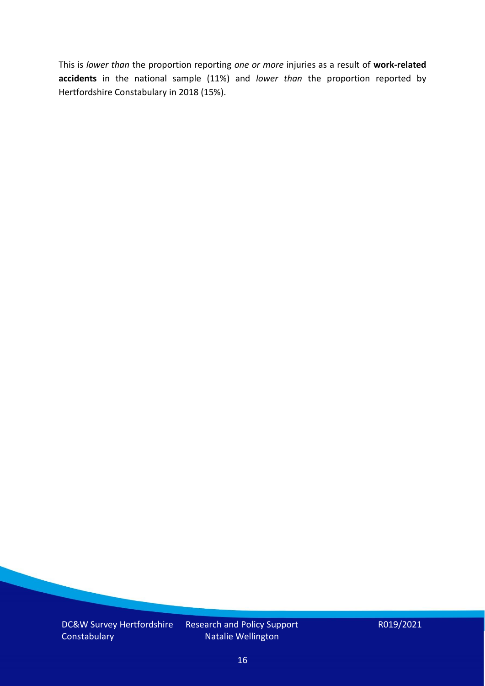This is *lower than* the proportion reporting *one or more* injuries as a result of **work-related accidents** in the national sample (11%) and *lower than* the proportion reported by Hertfordshire Constabulary in 2018 (15%).

DC&W Survey Hertfordshire **Constabulary** 

Research and Policy Support Natalie Wellington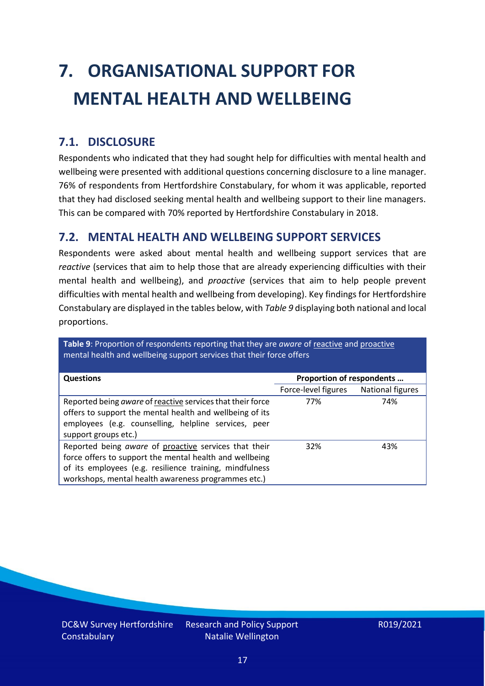# <span id="page-16-0"></span>**7. ORGANISATIONAL SUPPORT FOR MENTAL HEALTH AND WELLBEING**

### **7.1. DISCLOSURE**

Respondents who indicated that they had sought help for difficulties with mental health and wellbeing were presented with additional questions concerning disclosure to a line manager. 76% of respondents from Hertfordshire Constabulary, for whom it was applicable, reported that they had disclosed seeking mental health and wellbeing support to their line managers. This can be compared with 70% reported by Hertfordshire Constabulary in 2018.

#### **7.2. MENTAL HEALTH AND WELLBEING SUPPORT SERVICES**

Respondents were asked about mental health and wellbeing support services that are *reactive* (services that aim to help those that are already experiencing difficulties with their mental health and wellbeing), and *proactive* (services that aim to help people prevent difficulties with mental health and wellbeing from developing). Key findings for Hertfordshire Constabulary are displayed in the tables below, with *Table 9* displaying both national and local proportions.

**Table 9**: Proportion of respondents reporting that they are *aware* of reactive and proactive mental health and wellbeing support services that their force offers

| Proportion of respondents<br><b>Questions</b>                                                                                                                                                                                      |                     |                  |
|------------------------------------------------------------------------------------------------------------------------------------------------------------------------------------------------------------------------------------|---------------------|------------------|
|                                                                                                                                                                                                                                    | Force-level figures | National figures |
| Reported being aware of reactive services that their force<br>offers to support the mental health and wellbeing of its<br>employees (e.g. counselling, helpline services, peer<br>support groups etc.)                             | 77%                 | 74%              |
| Reported being aware of proactive services that their<br>force offers to support the mental health and wellbeing<br>of its employees (e.g. resilience training, mindfulness<br>workshops, mental health awareness programmes etc.) | 32%                 | 43%              |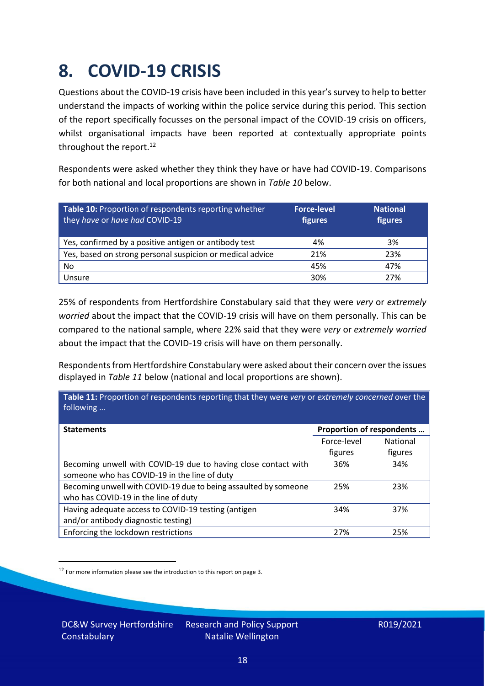### <span id="page-17-0"></span>**8. COVID-19 CRISIS**

Questions about the COVID-19 crisis have been included in this year's survey to help to better understand the impacts of working within the police service during this period. This section of the report specifically focusses on the personal impact of the COVID-19 crisis on officers, whilst organisational impacts have been reported at contextually appropriate points throughout the report.<sup>12</sup>

Respondents were asked whether they think they have or have had COVID-19. Comparisons for both national and local proportions are shown in *Table 10* below.

| Table 10: Proportion of respondents reporting whether<br>they have or have had COVID-19 | <b>Force-level</b><br>figures | <b>National</b><br>figures |
|-----------------------------------------------------------------------------------------|-------------------------------|----------------------------|
| Yes, confirmed by a positive antigen or antibody test                                   | 4%                            | 3%                         |
| Yes, based on strong personal suspicion or medical advice                               | 21%                           | 23%                        |
| No                                                                                      | 45%                           | 47%                        |
| Unsure                                                                                  | 30%                           | 27%                        |

25% of respondents from Hertfordshire Constabulary said that they were *very* or *extremely worried* about the impact that the COVID-19 crisis will have on them personally. This can be compared to the national sample, where 22% said that they were *very* or *extremely worried* about the impact that the COVID-19 crisis will have on them personally.

Respondents from Hertfordshire Constabulary were asked about their concern over the issues displayed in *Table 11* below (national and local proportions are shown).

| Table 11: Proportion of respondents reporting that they were very or extremely concerned over the<br>following |                           |                 |
|----------------------------------------------------------------------------------------------------------------|---------------------------|-----------------|
| <b>Statements</b>                                                                                              | Proportion of respondents |                 |
|                                                                                                                | Force-level               | <b>National</b> |
|                                                                                                                | figures                   | figures         |
| Becoming unwell with COVID-19 due to having close contact with                                                 | 36%                       | 34%             |
| someone who has COVID-19 in the line of duty                                                                   |                           |                 |
| Becoming unwell with COVID-19 due to being assaulted by someone                                                | 25%                       | 23%             |
| who has COVID-19 in the line of duty                                                                           |                           |                 |
| Having adequate access to COVID-19 testing (antigen                                                            | 34%                       | 37%             |
| and/or antibody diagnostic testing)                                                                            |                           |                 |
| Enforcing the lockdown restrictions                                                                            | 27%                       | 25%             |

<sup>12</sup> For more information please see the introduction to this report on page 3.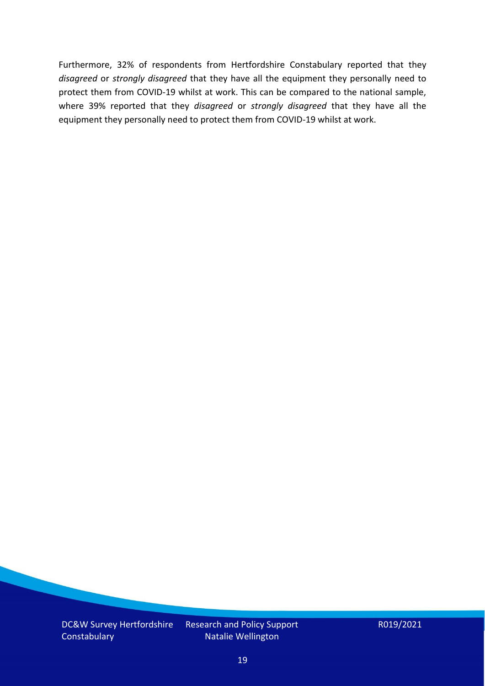Furthermore, 32% of respondents from Hertfordshire Constabulary reported that they *disagreed* or *strongly disagreed* that they have all the equipment they personally need to protect them from COVID-19 whilst at work. This can be compared to the national sample, where 39% reported that they *disagreed* or *strongly disagreed* that they have all the equipment they personally need to protect them from COVID-19 whilst at work.

DC&W Survey Hertfordshire **Constabulary** 

Research and Policy Support Natalie Wellington